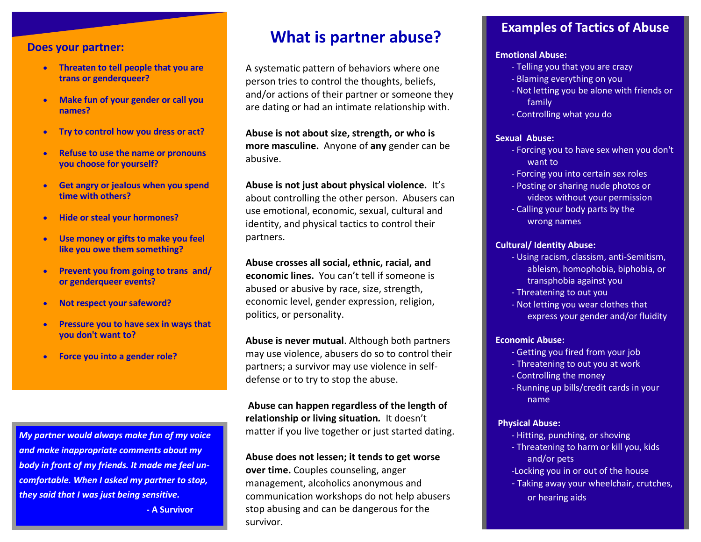#### **Does your partner:**

- **Threaten to tell people that you are trans or genderqueer?**
- **Make fun of your gender or call you names?**
- **Try to control how you dress or act?**
- **Refuse to use the name or pronouns you choose for yourself?**
- **Get angry or jealous when you spend time with others?**
- **Hide or steal your hormones?**
- **Use money or gifts to make you feel like you owe them something?**
- **Prevent you from going to trans and/ or genderqueer events?**
- **Not respect your safeword?**
- **Pressure you to have sex in ways that you don't want to?**
- **Force you into a gender role?**

*My partner would always make fun of my voice and make inappropriate comments about my body in front of my friends. It made me feel uncomfortable. When I asked my partner to stop, they said that I was just being sensitive.*

**- A Survivor** 

# **What is partner abuse? Examples of Tactics of Abuse**

A systematic pattern of behaviors where one person tries to control the thoughts, beliefs, and/or actions of their partner or someone they are dating or had an intimate relationship with.

**Abuse is not about size, strength, or who is more masculine.** Anyone of **any** gender can be abusive.

**Abuse is not just about physical violence.** It's about controlling the other person. Abusers can use emotional, economic, sexual, cultural and identity, and physical tactics to control their partners.

**Abuse crosses all social, ethnic, racial, and economic lines.** You can't tell if someone is abused or abusive by race, size, strength, economic level, gender expression, religion, politics, or personality.

**Abuse is never mutual**. Although both partners may use violence, abusers do so to control their partners; a survivor may use violence in selfdefense or to try to stop the abuse.

**Abuse can happen regardless of the length of relationship or living situation***.* It doesn't matter if you live together or just started dating.

#### **Abuse does not lessen; it tends to get worse**

**over time.** Couples counseling, anger management, alcoholics anonymous and communication workshops do not help abusers stop abusing and can be dangerous for the survivor.

#### **Emotional Abuse:**

- Telling you that you are crazy
- Blaming everything on you
- Not letting you be alone with friends or family
- Controlling what you do

#### **Sexual Abuse:**

- Forcing you to have sex when you don't want to
- Forcing you into certain sex roles
- Posting or sharing nude photos or videos without your permission
- Calling your body parts by the wrong names

#### **Cultural/ Identity Abuse:**

- Using racism, classism, anti-Semitism, ableism, homophobia, biphobia, or transphobia against you
- Threatening to out you
- Not letting you wear clothes that express your gender and/or fluidity

#### **Economic Abuse:**

- Getting you fired from your job
- Threatening to out you at work
- Controlling the money
- Running up bills/credit cards in your name

#### **Physical Abuse:**

- Hitting, punching, or shoving
- Threatening to harm or kill you, kids and/or pets
- -Locking you in or out of the house
- Taking away your wheelchair, crutches, or hearing aids